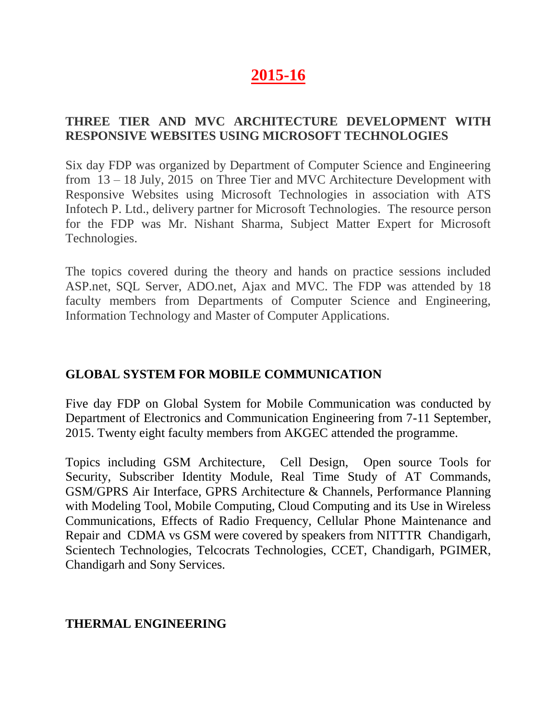# **2015-16**

#### **THREE TIER AND MVC ARCHITECTURE DEVELOPMENT WITH RESPONSIVE WEBSITES USING MICROSOFT TECHNOLOGIES**

Six day FDP was organized by Department of Computer Science and Engineering from 13 – 18 July, 2015 on Three Tier and MVC Architecture Development with Responsive Websites using Microsoft Technologies in association with ATS Infotech P. Ltd., delivery partner for Microsoft Technologies. The resource person for the FDP was Mr. Nishant Sharma, Subject Matter Expert for Microsoft Technologies.

The topics covered during the theory and hands on practice sessions included ASP.net, SQL Server, ADO.net, Ajax and MVC. The FDP was attended by 18 faculty members from Departments of Computer Science and Engineering, Information Technology and Master of Computer Applications.

## **GLOBAL SYSTEM FOR MOBILE COMMUNICATION**

Five day FDP on Global System for Mobile Communication was conducted by Department of Electronics and Communication Engineering from 7-11 September, 2015. Twenty eight faculty members from AKGEC attended the programme.

Topics including GSM Architecture, Cell Design, Open source Tools for Security, Subscriber Identity Module, Real Time Study of AT Commands, GSM/GPRS Air Interface, GPRS Architecture & Channels, Performance Planning with Modeling Tool, Mobile Computing, Cloud Computing and its Use in Wireless Communications, Effects of Radio Frequency, Cellular Phone Maintenance and Repair and CDMA vs GSM were covered by speakers from NITTTR Chandigarh, Scientech Technologies, Telcocrats Technologies, CCET, Chandigarh, PGIMER, Chandigarh and Sony Services.

#### **THERMAL ENGINEERING**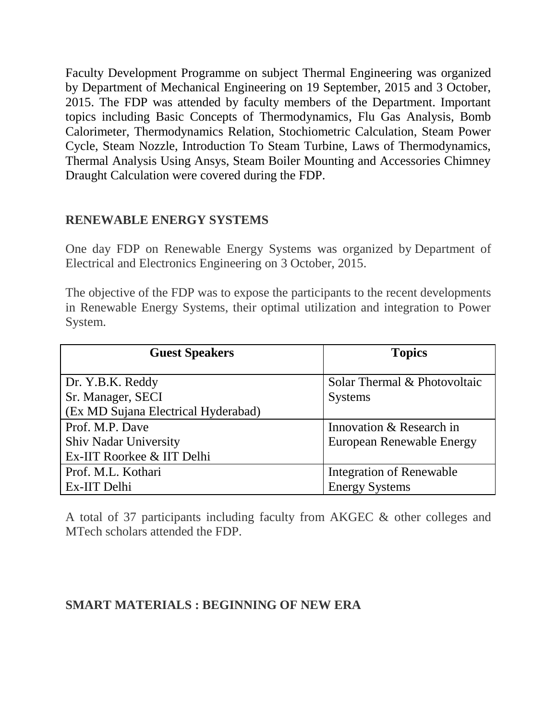Faculty Development Programme on subject Thermal Engineering was organized by Department of Mechanical Engineering on 19 September, 2015 and 3 October, 2015. The FDP was attended by faculty members of the Department. Important topics including Basic Concepts of Thermodynamics, Flu Gas Analysis, Bomb Calorimeter, Thermodynamics Relation, Stochiometric Calculation, Steam Power Cycle, Steam Nozzle, Introduction To Steam Turbine, Laws of Thermodynamics, Thermal Analysis Using Ansys, Steam Boiler Mounting and Accessories Chimney Draught Calculation were covered during the FDP.

## **RENEWABLE ENERGY SYSTEMS**

One day FDP on Renewable Energy Systems was organized by Department of Electrical and Electronics Engineering on 3 October, 2015.

The objective of the FDP was to expose the participants to the recent developments in Renewable Energy Systems, their optimal utilization and integration to Power System.

| <b>Guest Speakers</b>               | <b>Topics</b>                   |
|-------------------------------------|---------------------------------|
|                                     |                                 |
| Dr. Y.B.K. Reddy                    | Solar Thermal & Photovoltaic    |
| Sr. Manager, SECI                   | <b>Systems</b>                  |
| (Ex MD Sujana Electrical Hyderabad) |                                 |
| Prof. M.P. Dave                     | Innovation & Research in        |
| <b>Shiv Nadar University</b>        | European Renewable Energy       |
| Ex-IIT Roorkee & IIT Delhi          |                                 |
| Prof. M.L. Kothari                  | <b>Integration of Renewable</b> |
| Ex-IIT Delhi                        | <b>Energy Systems</b>           |

A total of 37 participants including faculty from AKGEC & other colleges and MTech scholars attended the FDP.

## **SMART MATERIALS : BEGINNING OF NEW ERA**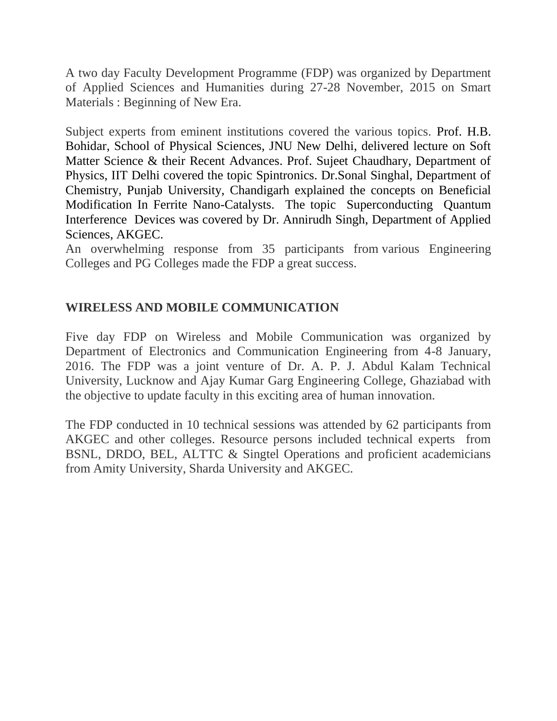A two day Faculty Development Programme (FDP) was organized by Department of Applied Sciences and Humanities during 27-28 November, 2015 on Smart Materials : Beginning of New Era.

Subject experts from eminent institutions covered the various topics. Prof. H.B. Bohidar, School of Physical Sciences, JNU New Delhi, delivered lecture on Soft Matter Science & their Recent Advances. Prof. Sujeet Chaudhary, Department of Physics, IIT Delhi covered the topic Spintronics. Dr.Sonal Singhal, Department of Chemistry, Punjab University, Chandigarh explained the concepts on Beneficial Modification In Ferrite Nano-Catalysts. The topic Superconducting Quantum Interference Devices was covered by Dr. Annirudh Singh, Department of Applied Sciences, AKGEC.

An overwhelming response from 35 participants from various Engineering Colleges and PG Colleges made the FDP a great success.

#### **WIRELESS AND MOBILE COMMUNICATION**

Five day FDP on Wireless and Mobile Communication was organized by Department of Electronics and Communication Engineering from 4-8 January, 2016. The FDP was a joint venture of Dr. A. P. J. Abdul Kalam Technical University, Lucknow and Ajay Kumar Garg Engineering College, Ghaziabad with the objective to update faculty in this exciting area of human innovation.

The FDP conducted in 10 technical sessions was attended by 62 participants from AKGEC and other colleges. Resource persons included technical experts from BSNL, DRDO, BEL, ALTTC & Singtel Operations and proficient academicians from Amity University, Sharda University and AKGEC.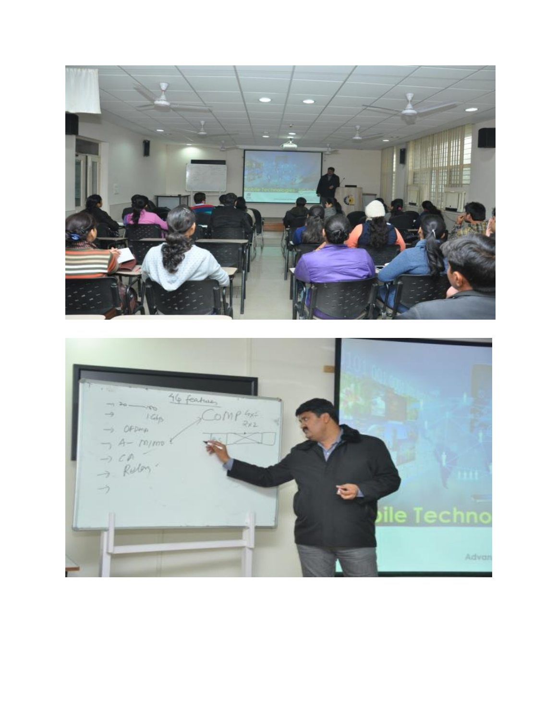

16 features  $\overline{\phantom{a}}$  $OMP_{R_{KL}}^{G_{KL}}$ OFDMA  $\mu$ Α Ruley Advan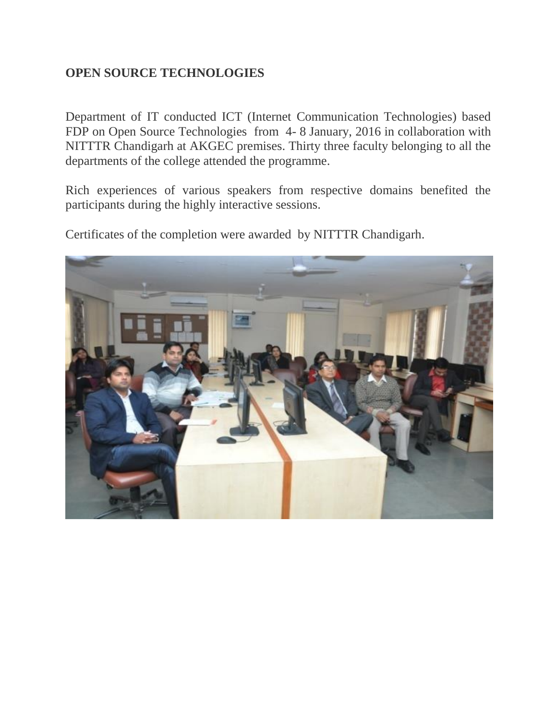## **OPEN SOURCE TECHNOLOGIES**

Department of IT conducted ICT (Internet Communication Technologies) based FDP on Open Source Technologies from 4- 8 January, 2016 in collaboration with NITTTR Chandigarh at AKGEC premises. Thirty three faculty belonging to all the departments of the college attended the programme.

Rich experiences of various speakers from respective domains benefited the participants during the highly interactive sessions.

Certificates of the completion were awarded by NITTTR Chandigarh.

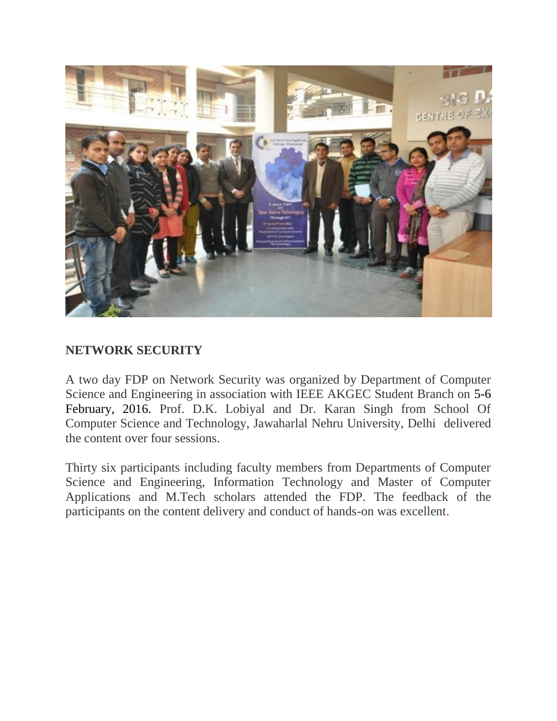

#### **NETWORK SECURITY**

A two day FDP on Network Security was organized by Department of Computer Science and Engineering in association with IEEE AKGEC Student Branch on 5-6 February, 2016. Prof. D.K. Lobiyal and Dr. Karan Singh from School Of Computer Science and Technology, Jawaharlal Nehru University, Delhi delivered the content over four sessions.

Thirty six participants including faculty members from Departments of Computer Science and Engineering, Information Technology and Master of Computer Applications and M.Tech scholars attended the FDP. The feedback of the participants on the content delivery and conduct of hands-on was excellent.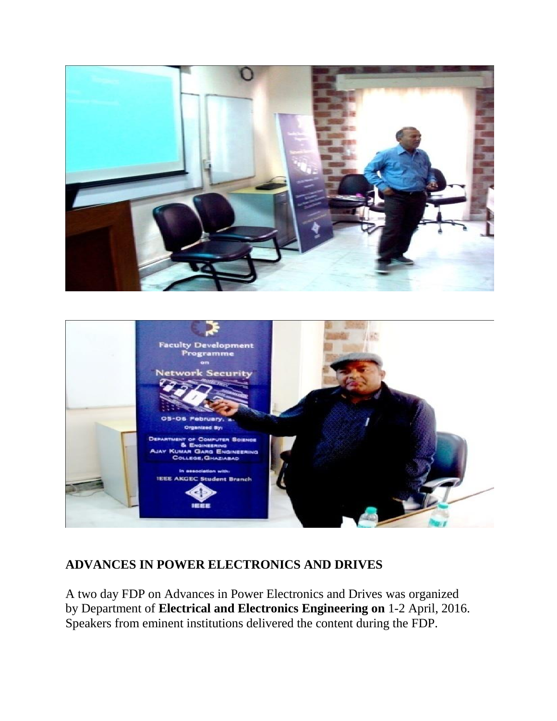



## **ADVANCES IN POWER ELECTRONICS AND DRIVES**

A two day FDP on Advances in Power Electronics and Drives was organized by Department of **Electrical and Electronics Engineering on** 1-2 April, 2016. Speakers from eminent institutions delivered the content during the FDP.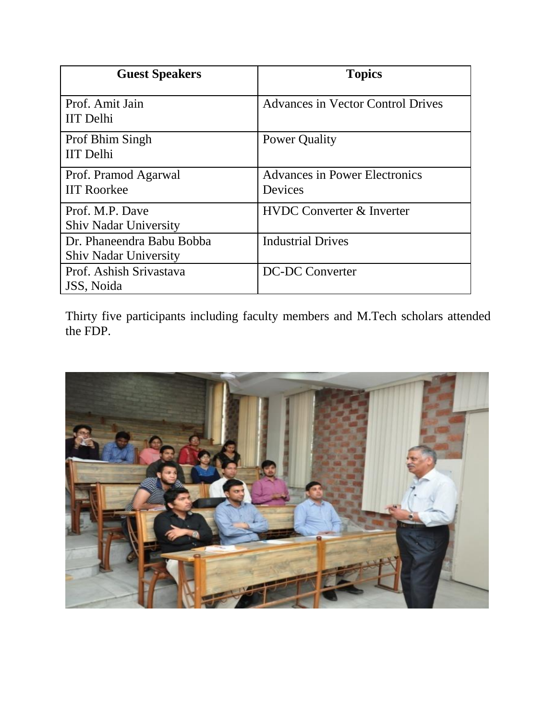| <b>Guest Speakers</b>               | <b>Topics</b>                            |
|-------------------------------------|------------------------------------------|
| Prof. Amit Jain<br><b>IIT</b> Delhi | <b>Advances in Vector Control Drives</b> |
| Prof Bhim Singh<br><b>IIT</b> Delhi | <b>Power Quality</b>                     |
| Prof. Pramod Agarwal                | <b>Advances in Power Electronics</b>     |
| <b>IIT Roorkee</b>                  | Devices                                  |
| Prof. M.P. Dave                     | <b>HVDC</b> Converter & Inverter         |
| <b>Shiv Nadar University</b>        |                                          |
| Dr. Phaneendra Babu Bobba           | <b>Industrial Drives</b>                 |
| <b>Shiv Nadar University</b>        |                                          |
| Prof. Ashish Srivastava             | <b>DC-DC Converter</b>                   |
| JSS, Noida                          |                                          |

Thirty five participants including faculty members and M.Tech scholars attended the FDP.